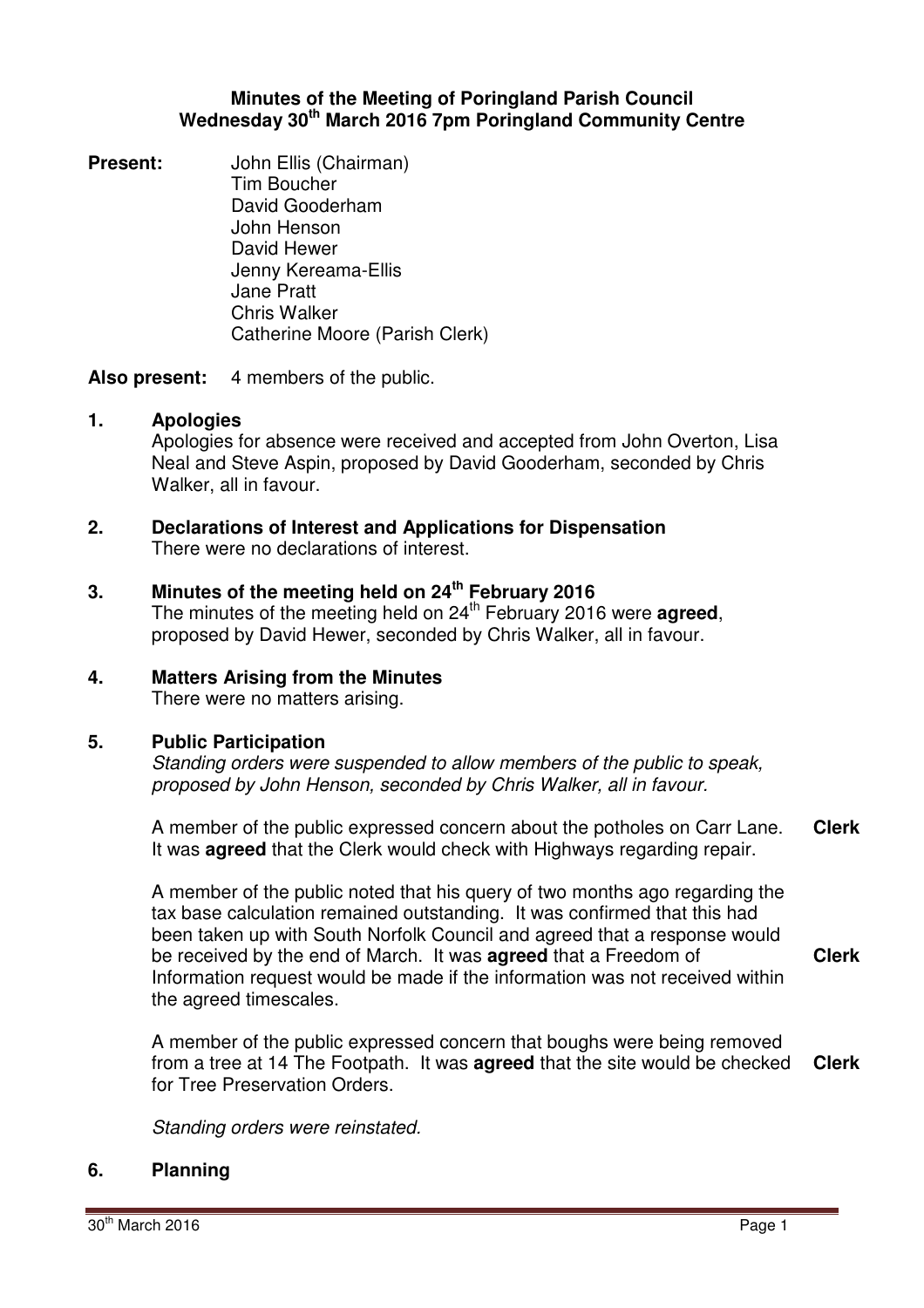### **Minutes of the Meeting of Poringland Parish Council Wednesday 30th March 2016 7pm Poringland Community Centre**

**Present:** John Ellis (Chairman) Tim Boucher David Gooderham John Henson David Hewer Jenny Kereama-Ellis Jane Pratt Chris Walker Catherine Moore (Parish Clerk)

**Also present:** 4 members of the public.

### **1. Apologies**

Apologies for absence were received and accepted from John Overton, Lisa Neal and Steve Aspin, proposed by David Gooderham, seconded by Chris Walker, all in favour.

**2. Declarations of Interest and Applications for Dispensation** There were no declarations of interest.

### **3. Minutes of the meeting held on 24 th February 2016**

The minutes of the meeting held on 24<sup>th</sup> February 2016 were **agreed**, proposed by David Hewer, seconded by Chris Walker, all in favour.

# **4. Matters Arising from the Minutes**

There were no matters arising.

### **5. Public Participation**

Standing orders were suspended to allow members of the public to speak, proposed by John Henson, seconded by Chris Walker, all in favour.

A member of the public expressed concern about the potholes on Carr Lane. It was **agreed** that the Clerk would check with Highways regarding repair. **Clerk**

A member of the public noted that his query of two months ago regarding the tax base calculation remained outstanding. It was confirmed that this had been taken up with South Norfolk Council and agreed that a response would be received by the end of March. It was **agreed** that a Freedom of Information request would be made if the information was not received within the agreed timescales. **Clerk**

A member of the public expressed concern that boughs were being removed from a tree at 14 The Footpath. It was **agreed** that the site would be checked for Tree Preservation Orders. **Clerk**

Standing orders were reinstated.

### **6. Planning**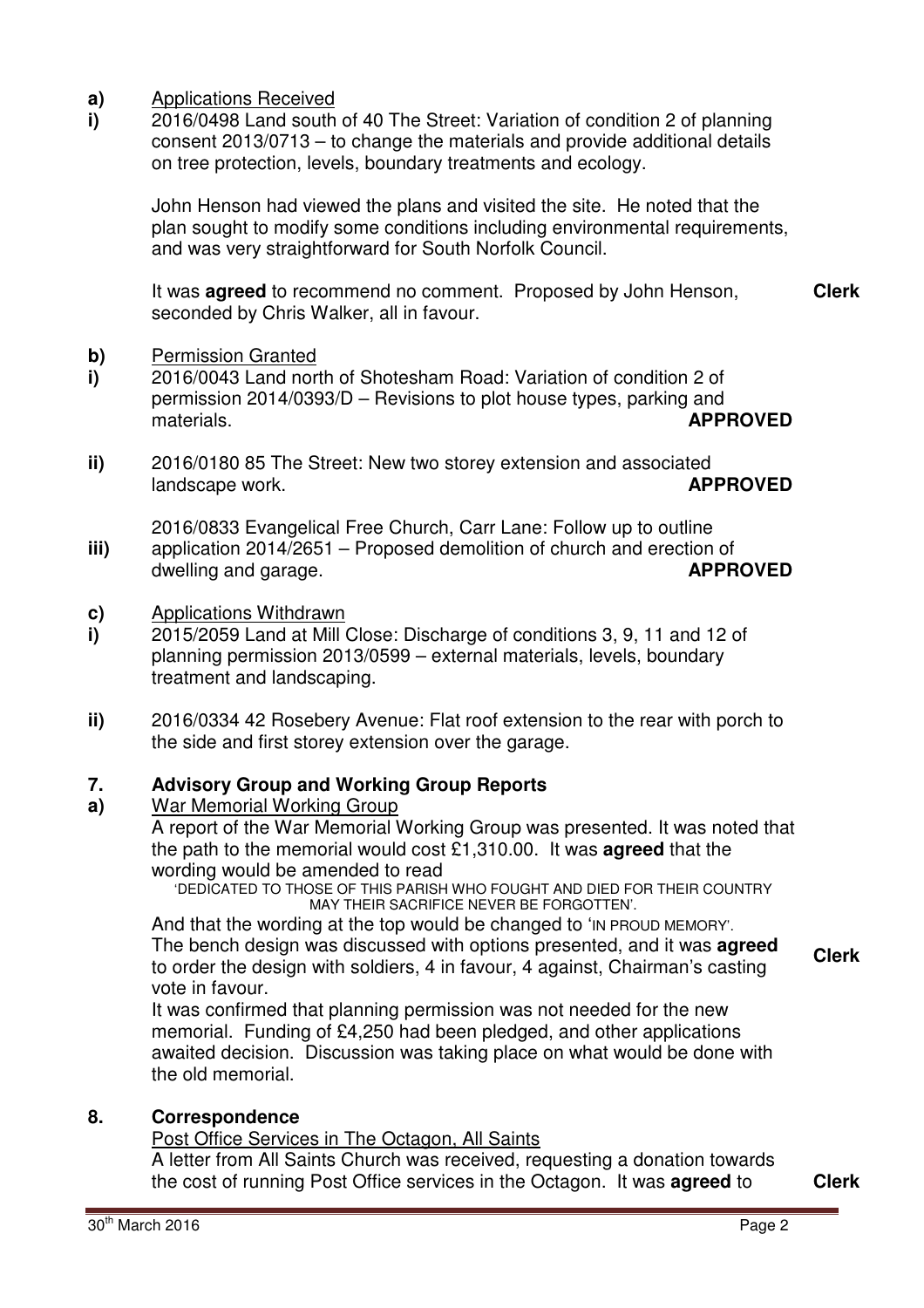- **a)** Applications Received
- **i)**  2016/0498 Land south of 40 The Street: Variation of condition 2 of planning consent 2013/0713 – to change the materials and provide additional details on tree protection, levels, boundary treatments and ecology.

John Henson had viewed the plans and visited the site. He noted that the plan sought to modify some conditions including environmental requirements, and was very straightforward for South Norfolk Council.

It was **agreed** to recommend no comment. Proposed by John Henson, seconded by Chris Walker, all in favour. **Clerk**

#### **b)** Permission Granted

- **i)**  2016/0043 Land north of Shotesham Road: Variation of condition 2 of permission 2014/0393/D – Revisions to plot house types, parking and materials. **APPROVED**
- **ii)**  2016/0180 85 The Street: New two storey extension and associated landscape work. **APPROVED**
- **iii)**  2016/0833 Evangelical Free Church, Carr Lane: Follow up to outline application 2014/2651 – Proposed demolition of church and erection of<br>dwelling and garage. dwelling and garage.

#### **c)** Applications Withdrawn

- **i)**  2015/2059 Land at Mill Close: Discharge of conditions 3, 9, 11 and 12 of planning permission 2013/0599 – external materials, levels, boundary treatment and landscaping.
- **ii)**  2016/0334 42 Rosebery Avenue: Flat roof extension to the rear with porch to the side and first storey extension over the garage.

#### **7. Advisory Group and Working Group Reports**

#### **a)**  War Memorial Working Group

A report of the War Memorial Working Group was presented. It was noted that the path to the memorial would cost £1,310.00. It was **agreed** that the wording would be amended to read

'DEDICATED TO THOSE OF THIS PARISH WHO FOUGHT AND DIED FOR THEIR COUNTRY MAY THEIR SACRIFICE NEVER BE FORGOTTEN'.

And that the wording at the top would be changed to 'IN PROUD MEMORY'. The bench design was discussed with options presented, and it was **agreed** to order the design with soldiers, 4 in favour, 4 against, Chairman's casting vote in favour.

It was confirmed that planning permission was not needed for the new memorial. Funding of £4,250 had been pledged, and other applications awaited decision. Discussion was taking place on what would be done with the old memorial.

### **8. Correspondence**

Post Office Services in The Octagon, All Saints

A letter from All Saints Church was received, requesting a donation towards the cost of running Post Office services in the Octagon. It was **agreed** to **Clerk**

**Clerk**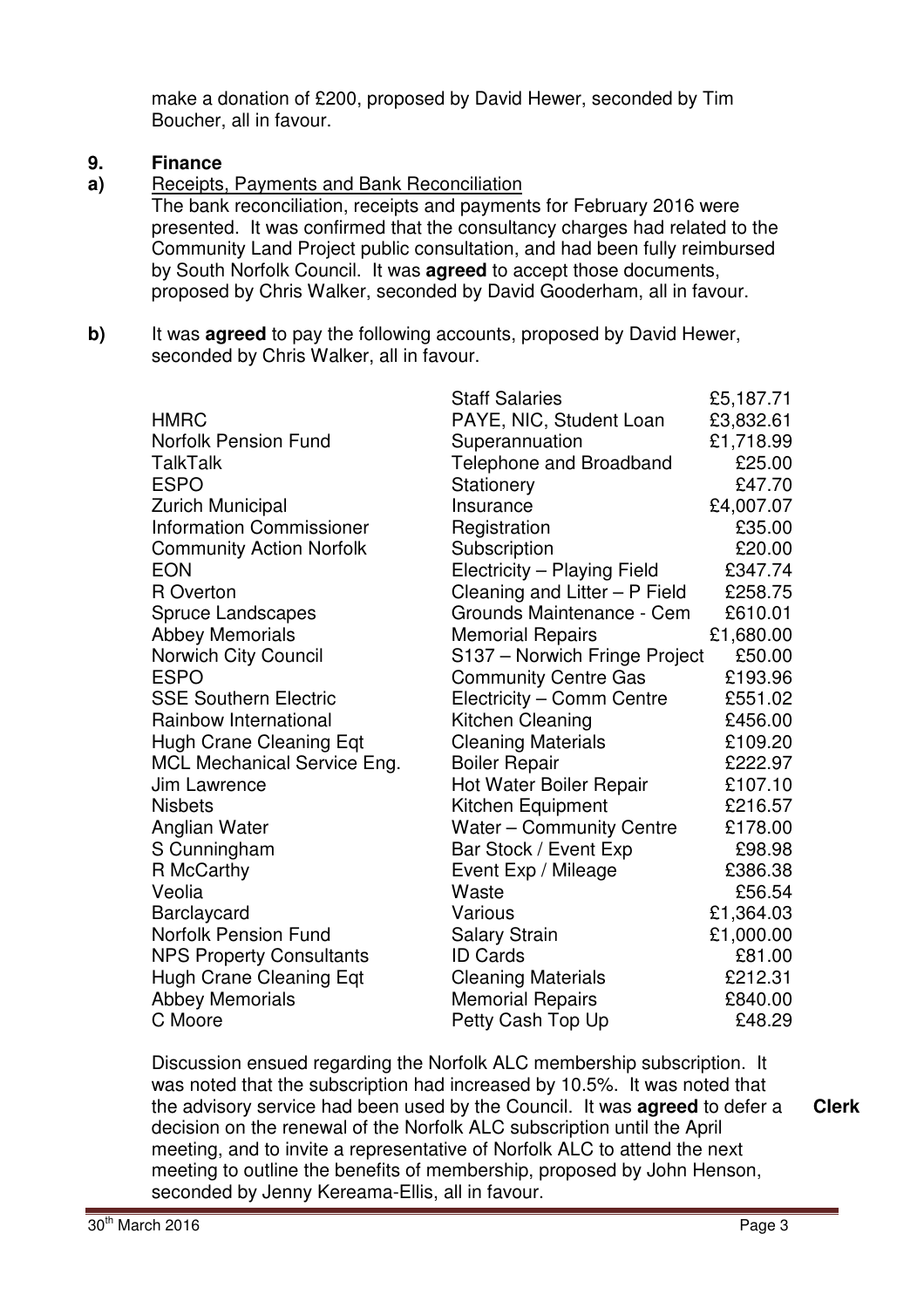make a donation of £200, proposed by David Hewer, seconded by Tim Boucher, all in favour.

#### **9. Finance**

**a)**  Receipts, Payments and Bank Reconciliation

The bank reconciliation, receipts and payments for February 2016 were presented. It was confirmed that the consultancy charges had related to the Community Land Project public consultation, and had been fully reimbursed by South Norfolk Council. It was **agreed** to accept those documents, proposed by Chris Walker, seconded by David Gooderham, all in favour.

**b)** It was **agreed** to pay the following accounts, proposed by David Hewer, seconded by Chris Walker, all in favour.

|                                 | <b>Staff Salaries</b>           | £5,187.71 |
|---------------------------------|---------------------------------|-----------|
| <b>HMRC</b>                     | PAYE, NIC, Student Loan         | £3,832.61 |
| <b>Norfolk Pension Fund</b>     | Superannuation                  | £1,718.99 |
| TalkTalk                        | Telephone and Broadband         | £25.00    |
| <b>ESPO</b>                     | Stationery                      | £47.70    |
| <b>Zurich Municipal</b>         | Insurance                       | £4,007.07 |
| <b>Information Commissioner</b> | Registration                    | £35.00    |
| <b>Community Action Norfolk</b> | Subscription                    | £20.00    |
| <b>EON</b>                      | Electricity - Playing Field     | £347.74   |
| R Overton                       | Cleaning and Litter - P Field   | £258.75   |
| <b>Spruce Landscapes</b>        | Grounds Maintenance - Cem       | £610.01   |
| <b>Abbey Memorials</b>          | <b>Memorial Repairs</b>         | £1,680.00 |
| Norwich City Council            | S137 - Norwich Fringe Project   | £50.00    |
| <b>ESPO</b>                     | <b>Community Centre Gas</b>     | £193.96   |
| <b>SSE Southern Electric</b>    | Electricity - Comm Centre       | £551.02   |
| Rainbow International           | Kitchen Cleaning                | £456.00   |
| <b>Hugh Crane Cleaning Eqt</b>  | <b>Cleaning Materials</b>       | £109.20   |
| MCL Mechanical Service Eng.     | <b>Boiler Repair</b>            | £222.97   |
| Jim Lawrence                    | Hot Water Boiler Repair         | £107.10   |
| <b>Nisbets</b>                  | Kitchen Equipment               | £216.57   |
| Anglian Water                   | <b>Water - Community Centre</b> | £178.00   |
| S Cunningham                    | Bar Stock / Event Exp           | £98.98    |
| R McCarthy                      | Event Exp / Mileage             | £386.38   |
| Veolia                          | Waste                           | £56.54    |
| <b>Barclaycard</b>              | Various                         | £1,364.03 |
| <b>Norfolk Pension Fund</b>     | <b>Salary Strain</b>            | £1,000.00 |
| <b>NPS Property Consultants</b> | <b>ID Cards</b>                 | £81.00    |
| Hugh Crane Cleaning Eqt         | <b>Cleaning Materials</b>       | £212.31   |
| <b>Abbey Memorials</b>          | <b>Memorial Repairs</b>         | £840.00   |
| C Moore                         | Petty Cash Top Up               | £48.29    |

Discussion ensued regarding the Norfolk ALC membership subscription. It was noted that the subscription had increased by 10.5%. It was noted that the advisory service had been used by the Council. It was **agreed** to defer a decision on the renewal of the Norfolk ALC subscription until the April meeting, and to invite a representative of Norfolk ALC to attend the next meeting to outline the benefits of membership, proposed by John Henson, seconded by Jenny Kereama-Ellis, all in favour.

**Clerk**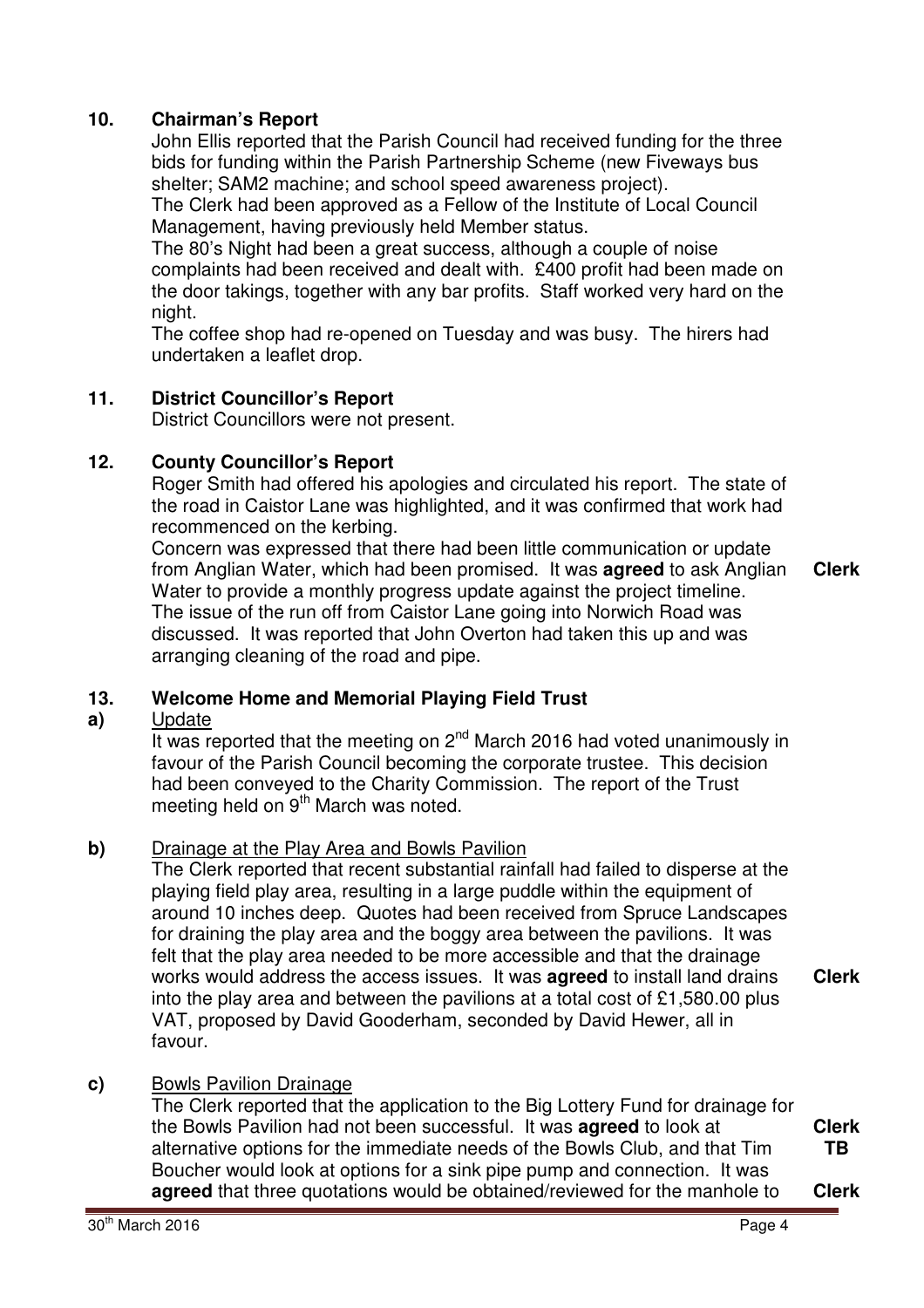# **10. Chairman's Report**

John Ellis reported that the Parish Council had received funding for the three bids for funding within the Parish Partnership Scheme (new Fiveways bus shelter; SAM2 machine; and school speed awareness project).

The Clerk had been approved as a Fellow of the Institute of Local Council Management, having previously held Member status.

The 80's Night had been a great success, although a couple of noise complaints had been received and dealt with. £400 profit had been made on the door takings, together with any bar profits. Staff worked very hard on the night.

The coffee shop had re-opened on Tuesday and was busy. The hirers had undertaken a leaflet drop.

# **11. District Councillor's Report**

District Councillors were not present.

### **12. County Councillor's Report**

Roger Smith had offered his apologies and circulated his report. The state of the road in Caistor Lane was highlighted, and it was confirmed that work had recommenced on the kerbing.

Concern was expressed that there had been little communication or update from Anglian Water, which had been promised. It was **agreed** to ask Anglian Water to provide a monthly progress update against the project timeline. The issue of the run off from Caistor Lane going into Norwich Road was discussed. It was reported that John Overton had taken this up and was arranging cleaning of the road and pipe. **Clerk**

#### **13. Welcome Home and Memorial Playing Field Trust**

#### **a)**  Update

It was reported that the meeting on  $2^{nd}$  March 2016 had voted unanimously in favour of the Parish Council becoming the corporate trustee. This decision had been conveyed to the Charity Commission. The report of the Trust meeting held on  $9<sup>th</sup>$  March was noted.

### **b)** Drainage at the Play Area and Bowls Pavilion

The Clerk reported that recent substantial rainfall had failed to disperse at the playing field play area, resulting in a large puddle within the equipment of around 10 inches deep. Quotes had been received from Spruce Landscapes for draining the play area and the boggy area between the pavilions. It was felt that the play area needed to be more accessible and that the drainage works would address the access issues. It was **agreed** to install land drains into the play area and between the pavilions at a total cost of £1,580.00 plus VAT, proposed by David Gooderham, seconded by David Hewer, all in favour. **Clerk**

# **c)** Bowls Pavilion Drainage

The Clerk reported that the application to the Big Lottery Fund for drainage for the Bowls Pavilion had not been successful. It was **agreed** to look at alternative options for the immediate needs of the Bowls Club, and that Tim Boucher would look at options for a sink pipe pump and connection. It was **agreed** that three quotations would be obtained/reviewed for the manhole to **Clerk**

**Clerk TB**